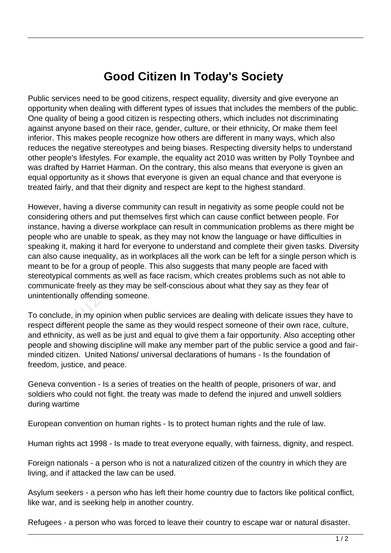## **Good Citizen In Today's Society**

Public services need to be good citizens, respect equality, diversity and give everyone an opportunity when dealing with different types of issues that includes the members of the public. One quality of being a good citizen is respecting others, which includes not discriminating against anyone based on their race, gender, culture, or their ethnicity, Or make them feel inferior. This makes people recognize how others are different in many ways, which also reduces the negative stereotypes and being biases. Respecting diversity helps to understand other people's lifestyles. For example, the equality act 2010 was written by Polly Toynbee and was drafted by Harriet Harman. On the contrary, this also means that everyone is given an equal opportunity as it shows that everyone is given an equal chance and that everyone is treated fairly, and that their dignity and respect are kept to the highest standard.

However, having a diverse community can result in negativity as some people could not be considering others and put themselves first which can cause conflict between people. For instance, having a diverse workplace can result in communication problems as there might be people who are unable to speak, as they may not know the language or have difficulties in speaking it, making it hard for everyone to understand and complete their given tasks. Diversity can also cause inequality, as in workplaces all the work can be left for a single person which is meant to be for a group of people. This also suggests that many people are faced with stereotypical comments as well as face racism, which creates problems such as not able to communicate freely as they may be self-conscious about what they say as they fear of unintentionally offending someone. aving a diverse workplace can reading<br>to are unable to speak, as they may<br>incure in and for everyone to understanding it hard for everyone to under<br>the for a group of people. This also<br>cal comments as well as face racise<br>a

To conclude, in my opinion when public services are dealing with delicate issues they have to respect different people the same as they would respect someone of their own race, culture, and ethnicity, as well as be just and equal to give them a fair opportunity. Also accepting other people and showing discipline will make any member part of the public service a good and fairminded citizen. United Nations/ universal declarations of humans - Is the foundation of freedom, justice, and peace.

Geneva convention - Is a series of treaties on the health of people, prisoners of war, and soldiers who could not fight. the treaty was made to defend the injured and unwell soldiers during wartime

European convention on human rights - Is to protect human rights and the rule of law.

Human rights act 1998 - Is made to treat everyone equally, with fairness, dignity, and respect.

Foreign nationals - a person who is not a naturalized citizen of the country in which they are living, and if attacked the law can be used.

Asylum seekers - a person who has left their home country due to factors like political conflict, like war, and is seeking help in another country.

Refugees - a person who was forced to leave their country to escape war or natural disaster.